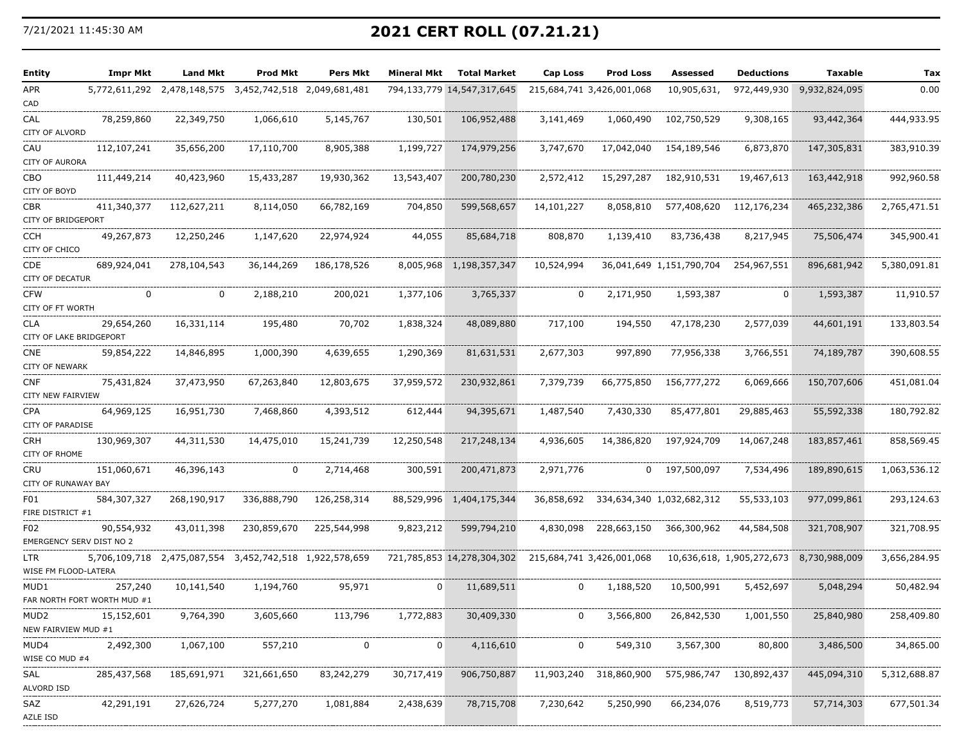## 7/21/2021 11:45:30 AM **2021 CERT ROLL (07.21.21)**

| Entity                           | Impr Mkt                               | Land Mkt                    | Prod Mkt                    | <b>Pers Mkt</b>             | Mineral Mkt | <b>Total Market</b>        | <b>Cap Loss</b> | Prod Loss                 | Assessed                  | <b>Deductions</b>         | <b>Taxable</b> | Tax          |
|----------------------------------|----------------------------------------|-----------------------------|-----------------------------|-----------------------------|-------------|----------------------------|-----------------|---------------------------|---------------------------|---------------------------|----------------|--------------|
| APR<br>CAD                       |                                        | 5,772,611,292 2,478,148,575 | 3,452,742,518 2,049,681,481 |                             | 794,133,779 | 14,547,317,645             |                 | 215,684,741 3,426,001,068 | 10,905,631,               | 972,449,930               | 9,932,824,095  | 0.00         |
| CAL<br>CITY OF ALVORD            | 78,259,860                             | 22,349,750                  | 1,066,610                   | 5,145,767                   | 130,501     | 106,952,488                | 3,141,469       | 1,060,490                 | 102,750,529               | 9,308,165                 | 93,442,364     | 444,933.95   |
| CAU<br>CITY OF AURORA            | 112,107,241                            | 35,656,200                  | 17,110,700                  | 8,905,388                   | 1,199,727   | 174,979,256                | 3,747,670       | 17,042,040                | 154,189,546               | 6,873,870                 | 147,305,831    | 383,910.39   |
| СВО<br>CITY OF BOYD              | 111,449,214                            | 40,423,960                  | 15,433,287                  | 19,930,362                  | 13,543,407  | 200,780,230                | 2,572,412       | 15,297,287                | 182,910,531               | 19,467,613                | 163,442,918    | 992,960.58   |
| CBR<br><b>CITY OF BRIDGEPORT</b> | 411,340,377                            | 112,627,211                 | 8,114,050                   | 66,782,169                  | 704,850     | 599,568,657                | 14,101,227      | 8,058,810                 | 577,408,620               | 112,176,234               | 465,232,386    | 2,765,471.51 |
| CCH<br>CITY OF CHICO             | 49,267,873                             | 12,250,246                  | 1,147,620                   | 22,974,924                  | 44,055      | 85,684,718                 | 808,870         | 1,139,410                 | 83,736,438                | 8,217,945                 | 75,506,474     | 345,900.41   |
| CDE<br>CITY OF DECATUR           | 689,924,041                            | 278,104,543                 | 36,144,269                  | 186,178,526                 | 8,005,968   | 1,198,357,347              | 10,524,994      |                           | 36,041,649 1,151,790,704  | 254,967,551               | 896,681,942    | 5,380,091.81 |
| <b>CFW</b><br>CITY OF FT WORTH   | 0                                      | 0                           | 2,188,210                   | 200,021                     | 1,377,106   | 3,765,337                  | 0               | 2,171,950                 | 1,593,387                 | 0                         | 1,593,387      | 11,910.57    |
| CLA<br>CITY OF LAKE BRIDGEPORT   | 29,654,260                             | 16,331,114                  | 195,480                     | 70,702                      | 1,838,324   | 48,089,880                 | 717,100         | 194,550                   | 47,178,230                | 2,577,039                 | 44,601,191     | 133,803.54   |
| CNE<br>CITY OF NEWARK            | 59,854,222                             | 14,846,895                  | 1,000,390                   | 4,639,655                   | 1,290,369   | 81,631,531                 | 2,677,303       | 997,890                   | 77,956,338                | 3,766,551                 | 74,189,787     | 390,608.55   |
| CNF<br>CITY NEW FAIRVIEW         | 75,431,824                             | 37,473,950                  | 67,263,840                  | 12,803,675                  | 37,959,572  | 230,932,861                | 7,379,739       | 66,775,850                | 156,777,272               | 6,069,666                 | 150,707,606    | 451,081.04   |
| CPA<br><b>CITY OF PARADISE</b>   | 64,969,125                             | 16,951,730                  | 7,468,860                   | 4,393,512                   | 612,444     | 94,395,671                 | 1,487,540       | 7,430,330                 | 85,477,801                | 29,885,463                | 55,592,338     | 180,792.82   |
| CRH<br>CITY OF RHOME             | 130,969,307                            | 44,311,530                  | 14,475,010                  | 15,241,739                  | 12,250,548  | 217,248,134                | 4,936,605       | 14,386,820                | 197,924,709               | 14,067,248                | 183,857,461    | 858,569.45   |
| CRU<br>CITY OF RUNAWAY BAY       | 151,060,671                            | 46,396,143                  | 0                           | 2,714,468                   | 300,591     | 200,471,873                | 2,971,776       | $\mathbf 0$               | 197,500,097               | 7,534,496                 | 189,890,615    | 1,063,536.12 |
| F01<br>FIRE DISTRICT #1          | 584,307,327                            | 268,190,917                 | 336,888,790                 | 126,258,314                 | 88,529,996  | 1,404,175,344              | 36,858,692      |                           | 334,634,340 1,032,682,312 | 55,533,103                | 977,099,861    | 293,124.63   |
| F02                              | 90,554,932<br>EMERGENCY SERV DIST NO 2 | 43,011,398                  | 230,859,670                 | 225,544,998                 | 9,823,212   | 599,794,210                | 4,830,098       | 228,663,150               | 366,300,962               | 44,584,508                | 321,708,907    | 321,708.95   |
| LTR<br>WISE FM FLOOD-LATERA      |                                        | 5,706,109,718 2,475,087,554 |                             | 3,452,742,518 1,922,578,659 |             | 721,785,853 14,278,304,302 |                 | 215,684,741 3,426,001,068 |                           | 10,636,618, 1,905,272,673 | 8,730,988,009  | 3,656,284.95 |
| MUD1                             | 257,240<br>FAR NORTH FORT WORTH MUD #1 | 10,141,540                  | 1,194,760                   | 95,971                      | 0           | 11,689,511                 | 0               | 1,188,520                 | 10,500,991                | 5,452,697                 | 5,048,294      | 50,482.94    |
| MUD2<br>NEW FAIRVIEW MUD #1      | 15,152,601                             | 9,764,390                   | 3,605,660                   | 113,796                     | 1,772,883   | 30,409,330                 | 0               | 3,566,800                 | 26,842,530                | 1,001,550                 | 25,840,980     | 258,409.80   |
| MUD4<br>WISE CO MUD #4           | 2,492,300                              | 1,067,100                   | 557,210                     | 0                           | 0           | 4,116,610                  | 0               | 549,310                   | 3,567,300                 | 80,800                    | 3,486,500      | 34,865.00    |
| SAL<br>ALVORD ISD                | 285,437,568                            | 185,691,971                 | 321,661,650                 | 83,242,279                  | 30,717,419  | 906,750,887                | 11,903,240      | 318,860,900               | 575,986,747               | 130,892,437               | 445,094,310    | 5,312,688.87 |
| SAZ<br>AZLE ISD                  | 42,291,191                             | 27,626,724                  | 5,277,270                   | 1,081,884                   | 2,438,639   | 78,715,708                 | 7,230,642       | 5,250,990                 | 66,234,076                | 8,519,773                 | 57,714,303     | 677,501.34   |